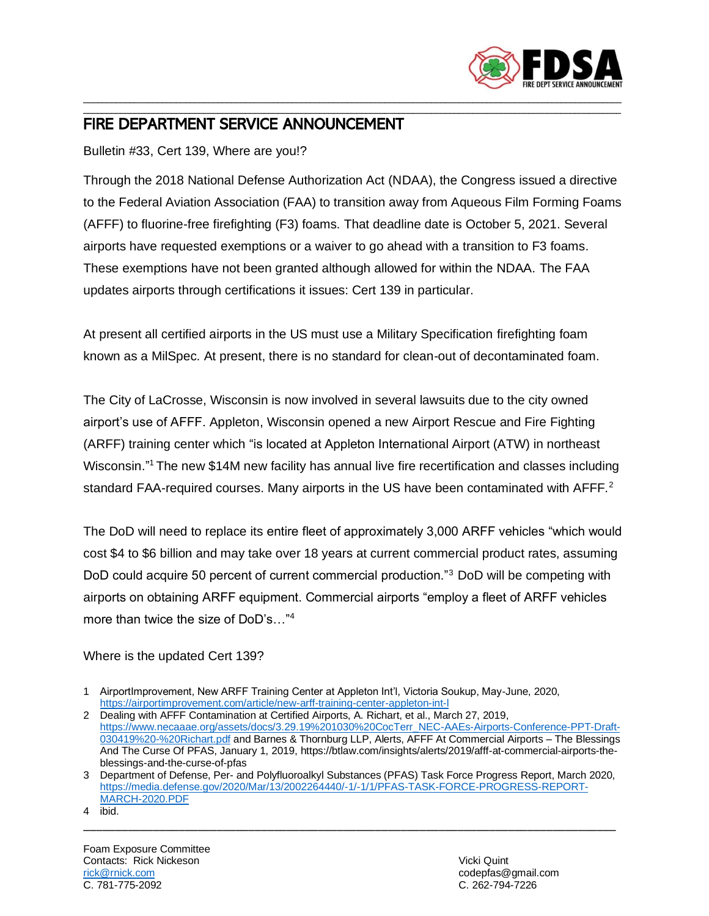

## \_\_\_\_\_\_\_\_\_\_\_\_\_\_\_\_\_\_\_\_\_\_\_\_\_\_\_\_\_\_\_\_\_\_\_\_\_\_\_\_\_\_\_\_\_\_\_\_\_\_\_\_\_\_\_\_\_\_\_\_\_\_\_\_\_\_\_\_\_\_\_\_\_\_\_\_\_\_\_\_\_\_\_\_\_\_\_\_\_\_\_\_\_\_\_\_\_\_\_\_\_\_\_\_\_\_\_\_\_\_\_\_\_\_\_\_ FIRE DEPARTMENT SERVICE ANNOUNCEMENT

Bulletin #33, Cert 139, Where are you!?

Through the 2018 National Defense Authorization Act (NDAA), the Congress issued a directive to the Federal Aviation Association (FAA) to transition away from Aqueous Film Forming Foams (AFFF) to fluorine-free firefighting (F3) foams. That deadline date is October 5, 2021. Several airports have requested exemptions or a waiver to go ahead with a transition to F3 foams. These exemptions have not been granted although allowed for within the NDAA. The FAA updates airports through certifications it issues: Cert 139 in particular.

\_\_\_\_\_\_\_\_\_\_\_\_\_\_\_\_\_\_\_\_\_\_\_\_\_\_\_\_\_\_\_\_\_\_\_\_\_\_\_\_\_\_\_\_\_\_\_\_\_\_\_\_\_\_\_\_\_\_\_\_\_\_\_\_\_\_\_\_\_\_\_\_\_\_\_\_\_\_\_\_\_\_\_\_\_\_\_\_\_\_\_\_\_\_\_\_\_\_\_\_\_\_\_\_\_\_\_\_\_\_\_\_\_\_\_\_

At present all certified airports in the US must use a Military Specification firefighting foam known as a MilSpec. At present, there is no standard for clean-out of decontaminated foam.

The City of LaCrosse, Wisconsin is now involved in several lawsuits due to the city owned airport's use of AFFF. Appleton, Wisconsin opened a new Airport Rescue and Fire Fighting (ARFF) training center which "is located at Appleton International Airport (ATW) in northeast Wisconsin."<sup>1</sup> The new \$14M new facility has annual live fire recertification and classes including standard FAA-required courses. Many airports in the US have been contaminated with AFFF.<sup>2</sup>

The DoD will need to replace its entire fleet of approximately 3,000 ARFF vehicles "which would cost \$4 to \$6 billion and may take over 18 years at current commercial product rates, assuming DoD could acquire 50 percent of current commercial production."<sup>3</sup> DoD will be competing with airports on obtaining ARFF equipment. Commercial airports "employ a fleet of ARFF vehicles more than twice the size of DoD's…"<sup>4</sup>

Where is the updated Cert 139?

\_\_\_\_\_\_\_\_\_\_\_\_\_\_\_\_\_\_\_\_\_\_\_\_\_\_\_\_\_\_\_\_\_\_\_\_\_\_\_\_\_\_\_\_\_\_\_\_\_\_\_\_\_\_\_\_\_\_\_\_\_\_\_\_\_\_\_\_\_\_\_\_\_\_\_\_\_\_\_\_\_\_\_\_

<sup>1</sup> AirportImprovement, New ARFF Training Center at Appleton Int'l, Victoria Soukup, May-June, 2020, <https://airportimprovement.com/article/new-arff-training-center-appleton-int-l>

<sup>2</sup> Dealing with AFFF Contamination at Certified Airports, A. Richart, et al., March 27, 2019, [https://www.necaaae.org/assets/docs/3.29.19%201030%20CocTerr\\_NEC-AAEs-Airports-Conference-PPT-Draft-](https://www.necaaae.org/assets/docs/3.29.19%201030%20CocTerr_NEC-AAEs-Airports-Conference-PPT-Draft-030419%20-%20Richart.pdf)[030419%20-%20Richart.pdf](https://www.necaaae.org/assets/docs/3.29.19%201030%20CocTerr_NEC-AAEs-Airports-Conference-PPT-Draft-030419%20-%20Richart.pdf) and Barnes & Thornburg LLP, Alerts, AFFF At Commercial Airports – The Blessings And The Curse Of PFAS, January 1, 2019, https://btlaw.com/insights/alerts/2019/afff-at-commercial-airports-theblessings-and-the-curse-of-pfas

<sup>3</sup> Department of Defense, Per- and Polyfluoroalkyl Substances (PFAS) Task Force Progress Report, March 2020, [https://media.defense.gov/2020/Mar/13/2002264440/-1/-1/1/PFAS-TASK-FORCE-PROGRESS-REPORT-](https://media.defense.gov/2020/Mar/13/2002264440/-1/-1/1/PFAS-TASK-FORCE-PROGRESS-REPORT-MARCH-2020.PDF)[MARCH-2020.PDF](https://media.defense.gov/2020/Mar/13/2002264440/-1/-1/1/PFAS-TASK-FORCE-PROGRESS-REPORT-MARCH-2020.PDF)

<sup>4</sup> ibid.